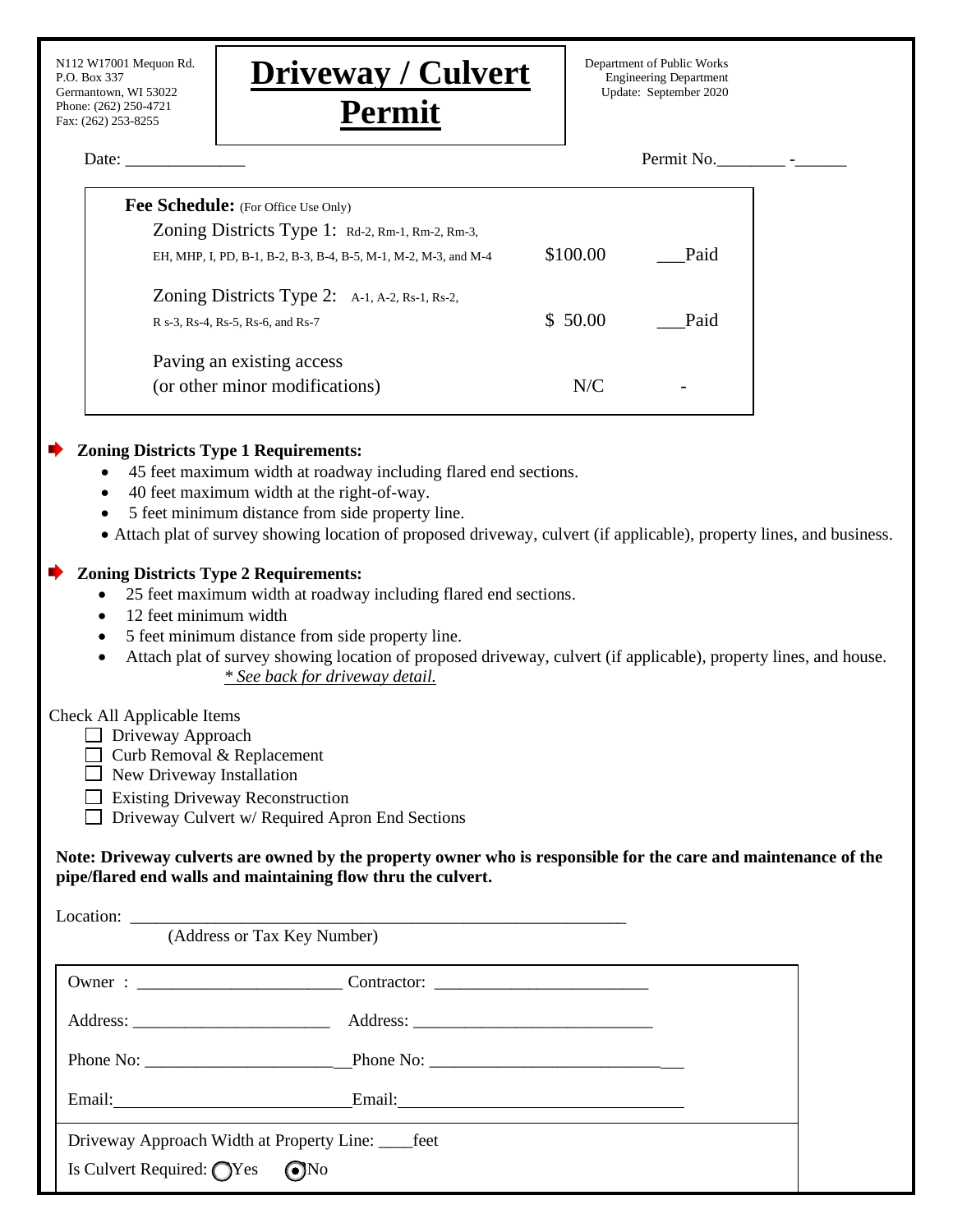| N112 W17001 Mequon Rd.<br>P.O. Box 337<br>Germantown, WI 53022                                                                                                             | <b>Driveway / Culvert</b>                                                                                                                                                                                                                                                                                                                  |          | Department of Public Works<br><b>Engineering Department</b><br>Update: September 2020 |  |
|----------------------------------------------------------------------------------------------------------------------------------------------------------------------------|--------------------------------------------------------------------------------------------------------------------------------------------------------------------------------------------------------------------------------------------------------------------------------------------------------------------------------------------|----------|---------------------------------------------------------------------------------------|--|
| Phone: (262) 250-4721<br>Fax: (262) 253-8255                                                                                                                               | Permit                                                                                                                                                                                                                                                                                                                                     |          |                                                                                       |  |
| Date: $\_\_$                                                                                                                                                               |                                                                                                                                                                                                                                                                                                                                            |          | Permit No.                                                                            |  |
|                                                                                                                                                                            | Fee Schedule: (For Office Use Only)                                                                                                                                                                                                                                                                                                        |          |                                                                                       |  |
|                                                                                                                                                                            | Zoning Districts Type 1: Rd-2, Rm-1, Rm-2, Rm-3,                                                                                                                                                                                                                                                                                           |          |                                                                                       |  |
|                                                                                                                                                                            | EH, MHP, I, PD, B-1, B-2, B-3, B-4, B-5, M-1, M-2, M-3, and M-4                                                                                                                                                                                                                                                                            | \$100.00 | Paid                                                                                  |  |
|                                                                                                                                                                            | Zoning Districts Type 2: A-1, A-2, Rs-1, Rs-2,                                                                                                                                                                                                                                                                                             |          |                                                                                       |  |
| R s-3, Rs-4, Rs-5, Rs-6, and Rs-7                                                                                                                                          |                                                                                                                                                                                                                                                                                                                                            | \$50.00  | Paid                                                                                  |  |
|                                                                                                                                                                            | Paving an existing access                                                                                                                                                                                                                                                                                                                  |          |                                                                                       |  |
|                                                                                                                                                                            | (or other minor modifications)                                                                                                                                                                                                                                                                                                             | N/C      |                                                                                       |  |
| 12 feet minimum width<br>$\bullet$                                                                                                                                         | 40 feet maximum width at the right-of-way.<br>5 feet minimum distance from side property line.<br>• Attach plat of survey showing location of proposed driveway, culvert (if applicable), property lines, and business.<br><b>Zoning Districts Type 2 Requirements:</b><br>25 feet maximum width at roadway including flared end sections. |          |                                                                                       |  |
|                                                                                                                                                                            | 5 feet minimum distance from side property line.<br>Attach plat of survey showing location of proposed driveway, culvert (if applicable), property lines, and house.<br>* See back for driveway detail.                                                                                                                                    |          |                                                                                       |  |
| Check All Applicable Items<br>$\Box$ Driveway Approach<br>$\Box$ Curb Removal & Replacement<br>$\Box$ New Driveway Installation<br>$\Box$ Existing Driveway Reconstruction | $\Box$ Driveway Culvert w/ Required Apron End Sections                                                                                                                                                                                                                                                                                     |          |                                                                                       |  |
|                                                                                                                                                                            | Note: Driveway culverts are owned by the property owner who is responsible for the care and maintenance of the<br>pipe/flared end walls and maintaining flow thru the culvert.                                                                                                                                                             |          |                                                                                       |  |
|                                                                                                                                                                            | Location: <u>(Address or Tax Key Number)</u>                                                                                                                                                                                                                                                                                               |          |                                                                                       |  |
|                                                                                                                                                                            | the control of the control of the control of the control of the control of the control of the control of the control of the control of the control of the control of the control of the control of the control of the control                                                                                                              |          |                                                                                       |  |
|                                                                                                                                                                            |                                                                                                                                                                                                                                                                                                                                            |          |                                                                                       |  |
|                                                                                                                                                                            |                                                                                                                                                                                                                                                                                                                                            |          |                                                                                       |  |

Is Culvert Required: ❑Yes ❑No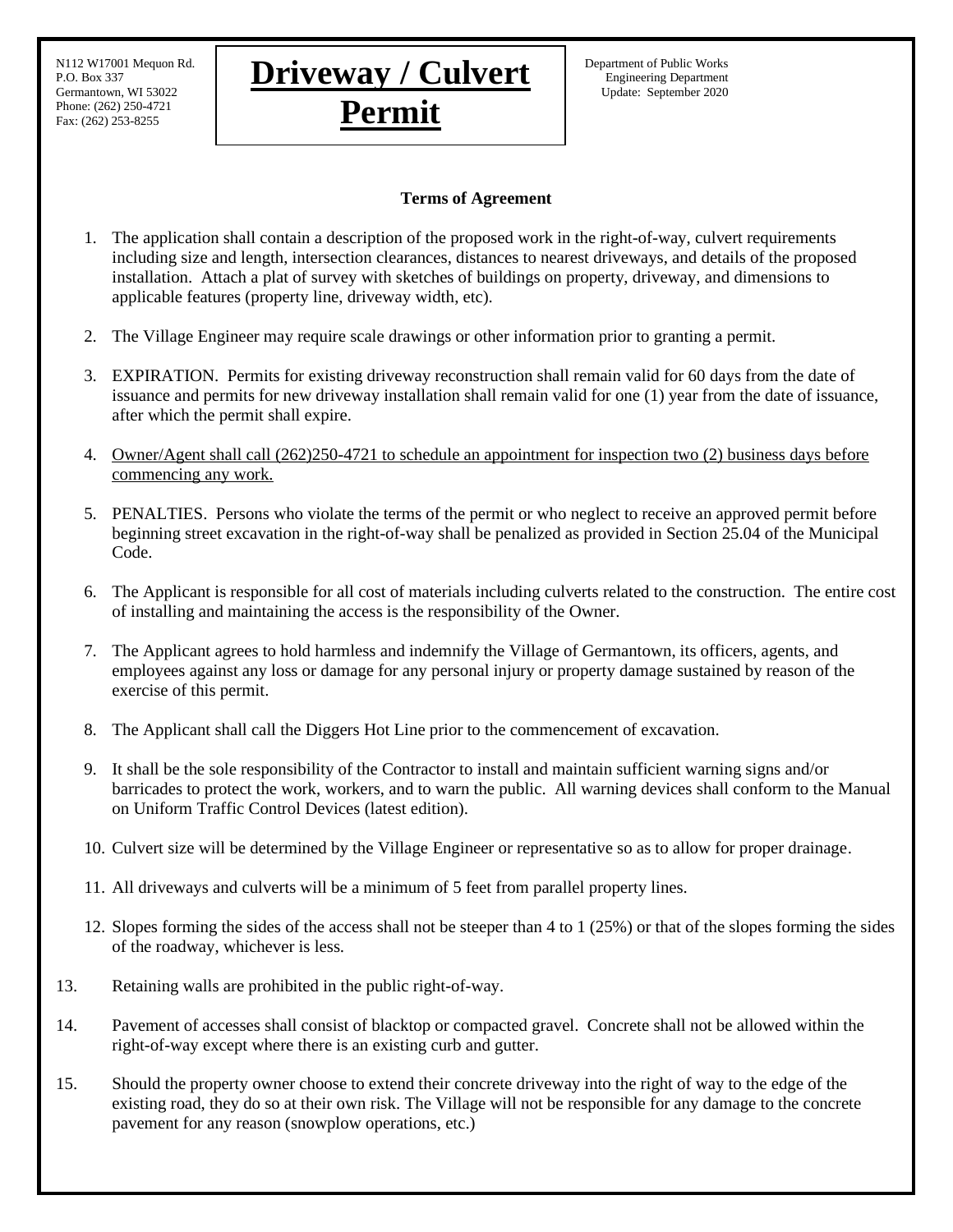Phone: (262) 250-4721 Fax: (262) 253-8255

## **Terms of Agreement**

- 1. The application shall contain a description of the proposed work in the right-of-way, culvert requirements including size and length, intersection clearances, distances to nearest driveways, and details of the proposed installation. Attach a plat of survey with sketches of buildings on property, driveway, and dimensions to applicable features (property line, driveway width, etc).
- 2. The Village Engineer may require scale drawings or other information prior to granting a permit.
- 3. EXPIRATION. Permits for existing driveway reconstruction shall remain valid for 60 days from the date of issuance and permits for new driveway installation shall remain valid for one (1) year from the date of issuance, after which the permit shall expire.
- 4. Owner/Agent shall call (262)250-4721 to schedule an appointment for inspection two (2) business days before commencing any work.
- 5. PENALTIES. Persons who violate the terms of the permit or who neglect to receive an approved permit before beginning street excavation in the right-of-way shall be penalized as provided in Section 25.04 of the Municipal Code.
- 6. The Applicant is responsible for all cost of materials including culverts related to the construction. The entire cost of installing and maintaining the access is the responsibility of the Owner.
- 7. The Applicant agrees to hold harmless and indemnify the Village of Germantown, its officers, agents, and employees against any loss or damage for any personal injury or property damage sustained by reason of the exercise of this permit.
- 8. The Applicant shall call the Diggers Hot Line prior to the commencement of excavation.
- 9. It shall be the sole responsibility of the Contractor to install and maintain sufficient warning signs and/or barricades to protect the work, workers, and to warn the public. All warning devices shall conform to the Manual on Uniform Traffic Control Devices (latest edition).
- 10. Culvert size will be determined by the Village Engineer or representative so as to allow for proper drainage.
- 11. All driveways and culverts will be a minimum of 5 feet from parallel property lines.
- 12. Slopes forming the sides of the access shall not be steeper than 4 to 1 (25%) or that of the slopes forming the sides of the roadway, whichever is less.
- 13. Retaining walls are prohibited in the public right-of-way.
- 14. Pavement of accesses shall consist of blacktop or compacted gravel. Concrete shall not be allowed within the right-of-way except where there is an existing curb and gutter.
- 15. Should the property owner choose to extend their concrete driveway into the right of way to the edge of the existing road, they do so at their own risk. The Village will not be responsible for any damage to the concrete pavement for any reason (snowplow operations, etc.)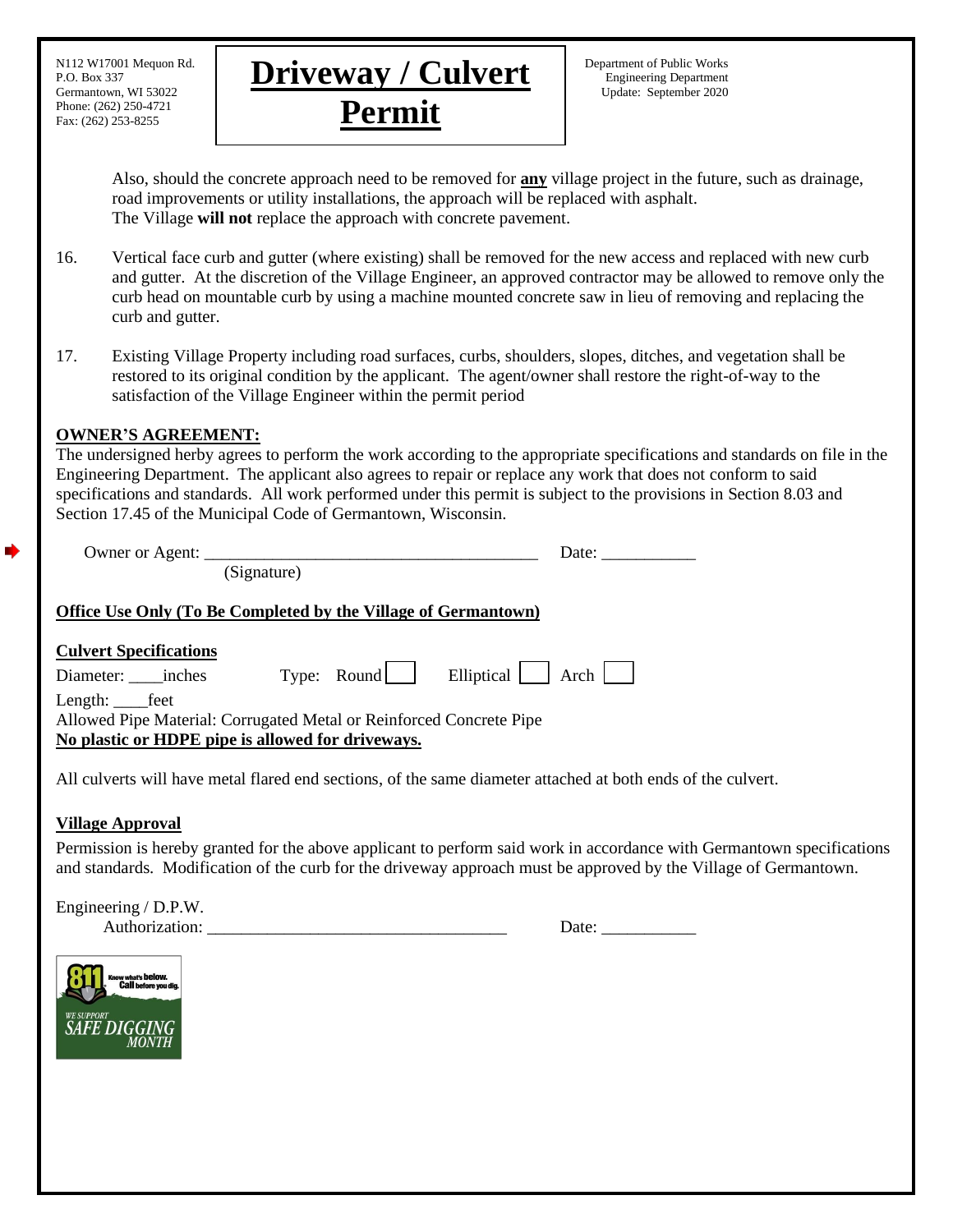Phone: (262) 250-4721 Fax: (262) 253-8255



Also, should the concrete approach need to be removed for **any** village project in the future, such as drainage, road improvements or utility installations, the approach will be replaced with asphalt. The Village **will not** replace the approach with concrete pavement.

- 16. Vertical face curb and gutter (where existing) shall be removed for the new access and replaced with new curb and gutter. At the discretion of the Village Engineer, an approved contractor may be allowed to remove only the curb head on mountable curb by using a machine mounted concrete saw in lieu of removing and replacing the curb and gutter.
- 17. Existing Village Property including road surfaces, curbs, shoulders, slopes, ditches, and vegetation shall be restored to its original condition by the applicant. The agent/owner shall restore the right-of-way to the satisfaction of the Village Engineer within the permit period

## **OWNER'S AGREEMENT:**

The undersigned herby agrees to perform the work according to the appropriate specifications and standards on file in the Engineering Department. The applicant also agrees to repair or replace any work that does not conform to said specifications and standards. All work performed under this permit is subject to the provisions in Section 8.03 and Section 17.45 of the Municipal Code of Germantown, Wisconsin.

|                                                                                                                                                                                                       |  | Date:                       |  |  |  |
|-------------------------------------------------------------------------------------------------------------------------------------------------------------------------------------------------------|--|-----------------------------|--|--|--|
| (Signature)                                                                                                                                                                                           |  |                             |  |  |  |
| <b>Office Use Only (To Be Completed by the Village of Germantown)</b>                                                                                                                                 |  |                             |  |  |  |
| <b>Culvert Specifications</b><br>Diameter: inches<br>Length: _______ feet<br>Allowed Pipe Material: Corrugated Metal or Reinforced Concrete Pipe<br>No plastic or HDPE pipe is allowed for driveways. |  | Type: Round Elliptical Arch |  |  |  |

All culverts will have metal flared end sections, of the same diameter attached at both ends of the culvert.

## **Village Approval**

d

Permission is hereby granted for the above applicant to perform said work in accordance with Germantown specifications and standards. Modification of the curb for the driveway approach must be approved by the Village of Germantown.

Engineering / D.P.W.

Authorization: \_\_\_\_\_\_\_\_\_\_\_\_\_\_\_\_\_\_\_\_\_\_\_\_\_\_\_\_\_\_\_\_\_\_\_ Date: \_\_\_\_\_\_\_\_\_\_\_